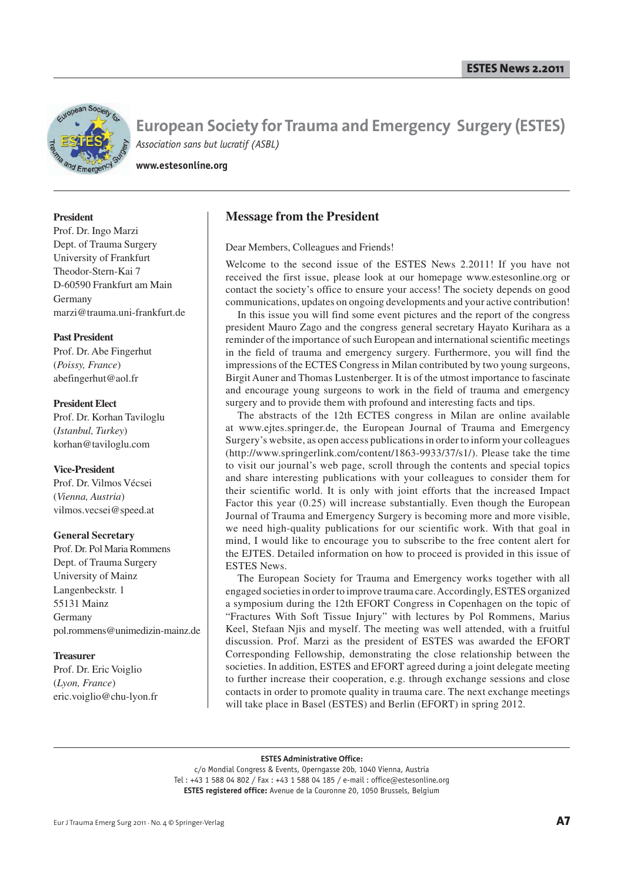

**www.estesonline.org**

#### **President**

Prof. Dr. Ingo Marzi Dept. of Trauma Surgery University of Frankfurt Theodor-Stern-Kai 7 D-60590 Frankfurt am Main Germany marzi@trauma.uni-frankfurt.de

#### **Past President**

Prof. Dr. Abe Fingerhut (*Poissy, France*) abefingerhut@aol.fr

#### **President Elect**

Prof. Dr. Korhan Taviloglu (*Istanbul, Turkey*) korhan@taviloglu.com

#### **Vice-President**

Prof. Dr. Vilmos Vécsei (*Vienna, Austria*) vilmos.vecsei@speed.at

#### **General Secretary**

Prof. Dr. Pol Maria Rommens Dept. of Trauma Surgery University of Mainz Langenbeckstr. 1 55131 Mainz Germany pol.rommens@unimedizin-mainz.de

#### **Treasurer**

Prof. Dr. Eric Voiglio (*Lyon, France*) eric.voiglio@chu-lyon.fr

# **Message from the President**

Dear Members, Colleagues and Friends!

Welcome to the second issue of the ESTES News 2.2011! If you have not received the first issue, please look at our homepage www.estesonline.org or contact the society's office to ensure your access! The society depends on good communications, updates on ongoing developments and your active contribution!

In this issue you will find some event pictures and the report of the congress president Mauro Zago and the congress general secretary Hayato Kurihara as a reminder of the importance of such European and international scientific meetings in the field of trauma and emergency surgery. Furthermore, you will find the impressions of the ECTES Congress in Milan contributed by two young surgeons, Birgit Auner and Thomas Lustenberger. It is of the utmost importance to fascinate and encourage young surgeons to work in the field of trauma and emergency surgery and to provide them with profound and interesting facts and tips.

The abstracts of the 12th ECTES congress in Milan are online available at www.ejtes.springer.de, the European Journal of Trauma and Emergency Surgery's website, as open access publications in order to inform your colleagues (http://www.springerlink.com/content/1863-9933/37/s1/). Please take the time to visit our journal's web page, scroll through the contents and special topics and share interesting publications with your colleagues to consider them for their scientific world. It is only with joint efforts that the increased Impact Factor this year (0.25) will increase substantially. Even though the European Journal of Trauma and Emergency Surgery is becoming more and more visible, we need high-quality publications for our scientific work. With that goal in mind, I would like to encourage you to subscribe to the free content alert for the EJTES. Detailed information on how to proceed is provided in this issue of ESTES News.

The European Society for Trauma and Emergency works together with all engaged societies in order to improve trauma care. Accordingly, ESTES organized a symposium during the 12th EFORT Congress in Copenhagen on the topic of "Fractures With Soft Tissue Injury" with lectures by Pol Rommens, Marius Keel, Stefaan Njis and myself. The meeting was well attended, with a fruitful discussion. Prof. Marzi as the president of ESTES was awarded the EFORT Corresponding Fellowship, demonstrating the close relationship between the societies. In addition, ESTES and EFORT agreed during a joint delegate meeting to further increase their cooperation, e.g. through exchange sessions and close contacts in order to promote quality in trauma care. The next exchange meetings will take place in Basel (ESTES) and Berlin (EFORT) in spring 2012.

#### **ESTES Administrative Office:**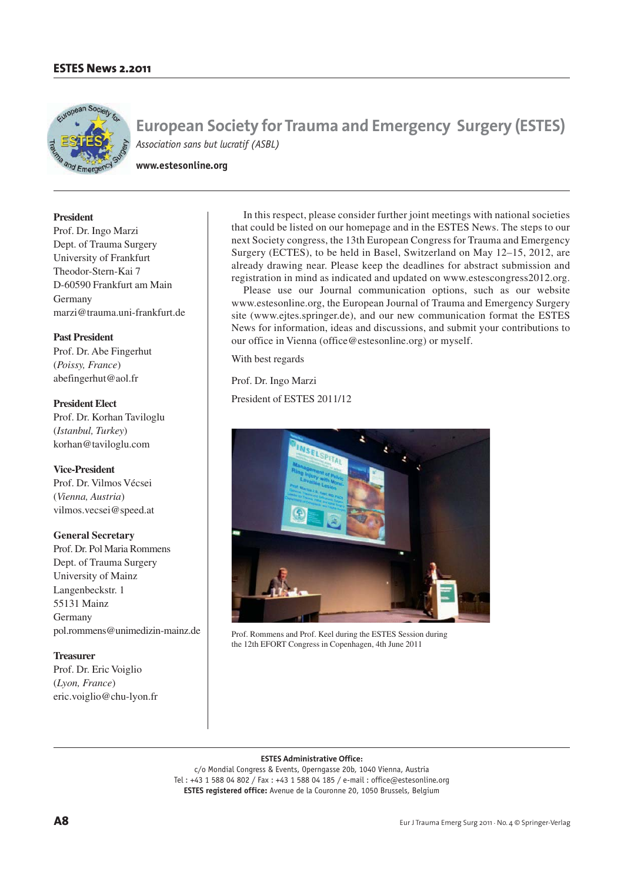

**www.estesonline.org**

## **President**

Prof. Dr. Ingo Marzi Dept. of Trauma Surgery University of Frankfurt Theodor-Stern-Kai 7 D-60590 Frankfurt am Main Germany marzi@trauma.uni-frankfurt.de

# **Past President**

Prof. Dr. Abe Fingerhut (*Poissy, France*) abefingerhut@aol.fr

**President Elect** Prof. Dr. Korhan Taviloglu (*Istanbul, Turkey*) korhan@taviloglu.com

**Vice-President** Prof. Dr. Vilmos Vécsei (*Vienna, Austria*) vilmos.vecsei@speed.at

## **General Secretary**

Prof. Dr. Pol Maria Rommens Dept. of Trauma Surgery University of Mainz Langenbeckstr. 1 55131 Mainz Germany pol.rommens@unimedizin-mainz.de

**Treasurer** Prof. Dr. Eric Voiglio (*Lyon, France*) eric.voiglio@chu-lyon.fr

In this respect, please consider further joint meetings with national societies that could be listed on our homepage and in the ESTES News. The steps to our next Society congress, the 13th European Congress for Trauma and Emergency Surgery (ECTES), to be held in Basel, Switzerland on May 12–15, 2012, are already drawing near. Please keep the deadlines for abstract submission and registration in mind as indicated and updated on www.estescongress2012.org.

Please use our Journal communication options, such as our website www.estesonline.org, the European Journal of Trauma and Emergency Surgery site (www.ejtes.springer.de), and our new communication format the ESTES News for information, ideas and discussions, and submit your contributions to our office in Vienna (office@estesonline.org) or myself.

With best regards

Prof. Dr. Ingo Marzi

President of ESTES 2011/12



Prof. Rommens and Prof. Keel during the ESTES Session during the 12th EFORT Congress in Copenhagen, 4th June 2011

#### **ESTES Administrative Office:**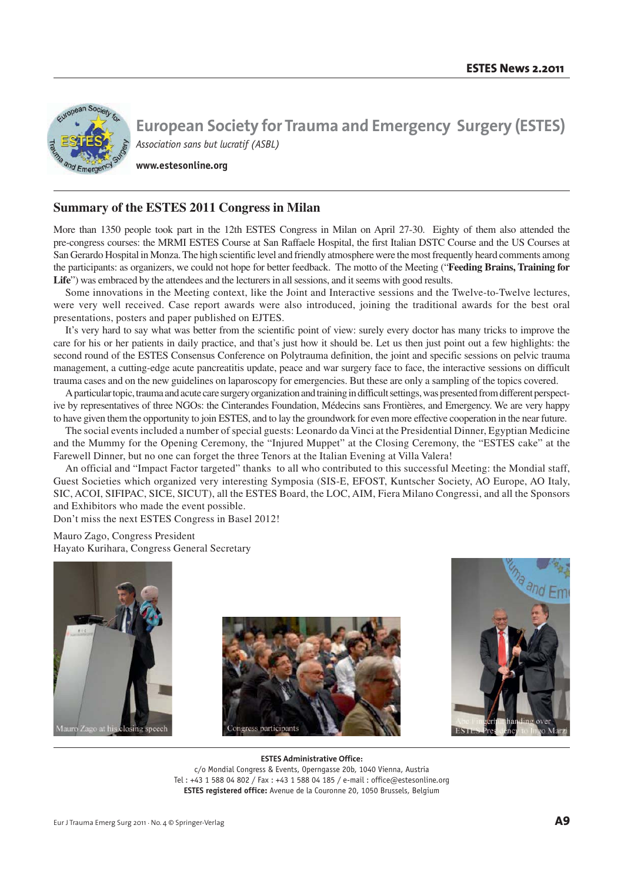

**www.estesonline.org**

# **Summary of the ESTES 2011 Congress in Milan**

More than 1350 people took part in the 12th ESTES Congress in Milan on April 27-30. Eighty of them also attended the pre-congress courses: the MRMI ESTES Course at San Raffaele Hospital, the first Italian DSTC Course and the US Courses at San Gerardo Hospital in Monza. The high scientific level and friendly atmosphere were the most frequently heard comments among the participants: as organizers, we could not hope for better feedback. The motto of the Meeting ("**Feeding Brains, Training for**  Life") was embraced by the attendees and the lecturers in all sessions, and it seems with good results.

Some innovations in the Meeting context, like the Joint and Interactive sessions and the Twelve-to-Twelve lectures, were very well received. Case report awards were also introduced, joining the traditional awards for the best oral presentations, posters and paper published on EJTES.

It's very hard to say what was better from the scientific point of view: surely every doctor has many tricks to improve the care for his or her patients in daily practice, and that's just how it should be. Let us then just point out a few highlights: the second round of the ESTES Consensus Conference on Polytrauma definition, the joint and specific sessions on pelvic trauma management, a cutting-edge acute pancreatitis update, peace and war surgery face to face, the interactive sessions on difficult trauma cases and on the new guidelines on laparoscopy for emergencies. But these are only a sampling of the topics covered.

A particular topic, trauma and acute care surgery organization and training in difficult settings, was presented from different perspective by representatives of three NGOs: the Cinterandes Foundation, Médecins sans Frontières, and Emergency. We are very happy to have given them the opportunity to join ESTES, and to lay the groundwork for even more effective cooperation in the near future.

The social events included a number of special guests: Leonardo da Vinci at the Presidential Dinner, Egyptian Medicine and the Mummy for the Opening Ceremony, the "Injured Muppet" at the Closing Ceremony, the "ESTES cake" at the Farewell Dinner, but no one can forget the three Tenors at the Italian Evening at Villa Valera!

An official and "Impact Factor targeted" thanks to all who contributed to this successful Meeting: the Mondial staff, Guest Societies which organized very interesting Symposia (SIS-E, EFOST, Kuntscher Society, AO Europe, AO Italy, SIC, ACOI, SIFIPAC, SICE, SICUT), all the ESTES Board, the LOC, AIM, Fiera Milano Congressi, and all the Sponsors and Exhibitors who made the event possible.

Don't miss the next ESTES Congress in Basel 2012!

Mauro Zago, Congress President Hayato Kurihara, Congress General Secretary





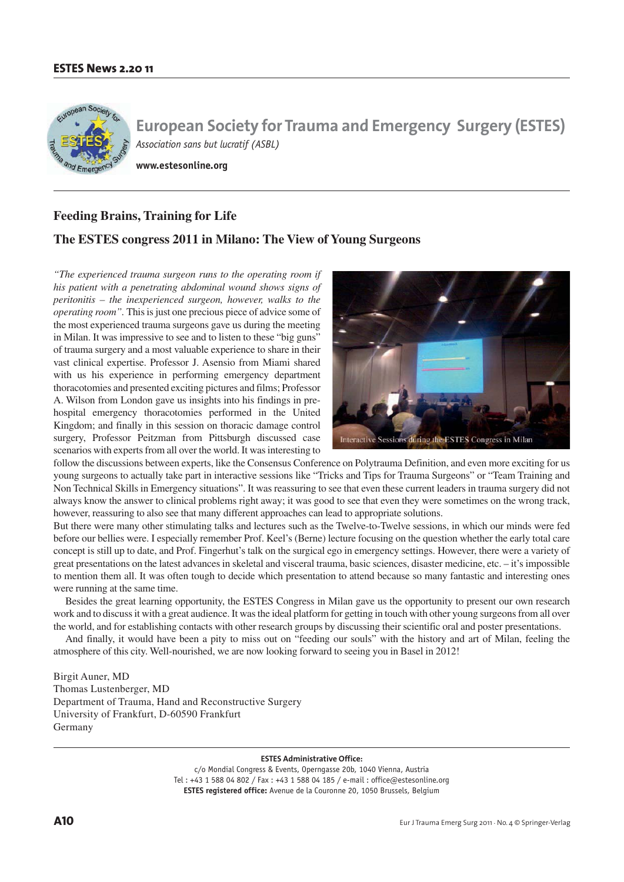

**www.estesonline.org**

# **Feeding Brains, Training for Life**

# **The ESTES congress 2011 in Milano: The View of Young Surgeons**

*"The experienced trauma surgeon runs to the operating room if his patient with a penetrating abdominal wound shows signs of peritonitis – the inexperienced surgeon, however, walks to the operating room".* This is just one precious piece of advice some of the most experienced trauma surgeons gave us during the meeting in Milan. It was impressive to see and to listen to these "big guns" of trauma surgery and a most valuable experience to share in their vast clinical expertise. Professor J. Asensio from Miami shared with us his experience in performing emergency department thoracotomies and presented exciting pictures and films; Professor A. Wilson from London gave us insights into his findings in prehospital emergency thoracotomies performed in the United Kingdom; and finally in this session on thoracic damage control surgery, Professor Peitzman from Pittsburgh discussed case scenarios with experts from all over the world. It was interesting to



follow the discussions between experts, like the Consensus Conference on Polytrauma Definition, and even more exciting for us young surgeons to actually take part in interactive sessions like "Tricks and Tips for Trauma Surgeons" or "Team Training and Non Technical Skills in Emergency situations". It was reassuring to see that even these current leaders in trauma surgery did not always know the answer to clinical problems right away; it was good to see that even they were sometimes on the wrong track, however, reassuring to also see that many different approaches can lead to appropriate solutions.

But there were many other stimulating talks and lectures such as the Twelve-to-Twelve sessions, in which our minds were fed before our bellies were. I especially remember Prof. Keel's (Berne) lecture focusing on the question whether the early total care concept is still up to date, and Prof. Fingerhut's talk on the surgical ego in emergency settings. However, there were a variety of great presentations on the latest advances in skeletal and visceral trauma, basic sciences, disaster medicine, etc. – it's impossible to mention them all. It was often tough to decide which presentation to attend because so many fantastic and interesting ones were running at the same time.

Besides the great learning opportunity, the ESTES Congress in Milan gave us the opportunity to present our own research work and to discuss it with a great audience. It was the ideal platform for getting in touch with other young surgeons from all over the world, and for establishing contacts with other research groups by discussing their scientific oral and poster presentations.

And finally, it would have been a pity to miss out on "feeding our souls" with the history and art of Milan, feeling the atmosphere of this city. Well-nourished, we are now looking forward to seeing you in Basel in 2012!

Birgit Auner, MD Thomas Lustenberger, MD Department of Trauma, Hand and Reconstructive Surgery University of Frankfurt, D-60590 Frankfurt Germany

#### **ESTES Administrative Office:**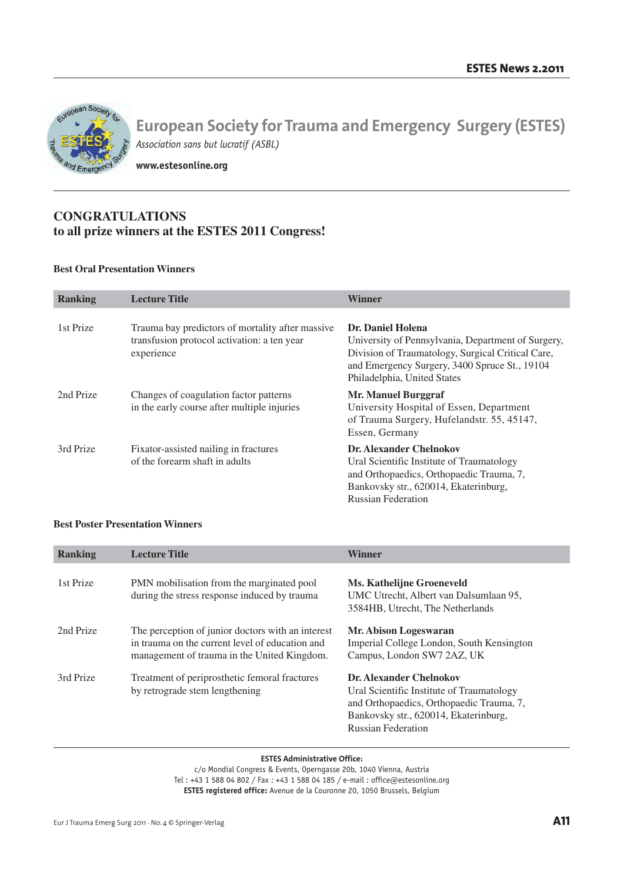

**www.estesonline.org**

# **CONGRATULATIONS to all prize winners at the ESTES 2011 Congress!**

# **Best Oral Presentation Winners**

| <b>Ranking</b> | <b>Lecture Title</b>                                                                                          | <b>Winner</b>                                                                                                                                                                                                |
|----------------|---------------------------------------------------------------------------------------------------------------|--------------------------------------------------------------------------------------------------------------------------------------------------------------------------------------------------------------|
| 1st Prize      | Trauma bay predictors of mortality after massive<br>transfusion protocol activation: a ten year<br>experience | Dr. Daniel Holena<br>University of Pennsylvania, Department of Surgery,<br>Division of Traumatology, Surgical Critical Care,<br>and Emergency Surgery, 3400 Spruce St., 19104<br>Philadelphia, United States |
| 2nd Prize      | Changes of coagulation factor patterns<br>in the early course after multiple injuries                         | Mr. Manuel Burggraf<br>University Hospital of Essen, Department<br>of Trauma Surgery, Hufelandstr. 55, 45147,<br>Essen, Germany                                                                              |
| 3rd Prize      | Fixator-assisted nailing in fractures<br>of the forearm shaft in adults                                       | <b>Dr. Alexander Chelnokov</b><br>Ural Scientific Institute of Traumatology<br>and Orthopaedics, Orthopaedic Trauma, 7,<br>Bankovsky str., 620014, Ekaterinburg,<br><b>Russian Federation</b>                |

# **Best Poster Presentation Winners**

| <b>Ranking</b> | <b>Lecture Title</b>                                                                                                                                | <b>Winner</b>                                                                                                                                                                                 |
|----------------|-----------------------------------------------------------------------------------------------------------------------------------------------------|-----------------------------------------------------------------------------------------------------------------------------------------------------------------------------------------------|
| 1st Prize      | PMN mobilisation from the marginated pool<br>during the stress response induced by trauma                                                           | <b>Ms. Kathelijne Groeneveld</b><br>UMC Utrecht, Albert van Dalsumlaan 95,<br>3584HB, Utrecht, The Netherlands                                                                                |
| 2nd Prize      | The perception of junior doctors with an interest<br>in trauma on the current level of education and<br>management of trauma in the United Kingdom. | Mr. Abison Logeswaran<br>Imperial College London, South Kensington<br>Campus, London SW7 2AZ, UK                                                                                              |
| 3rd Prize      | Treatment of periprosthetic femoral fractures<br>by retrograde stem lengthening                                                                     | <b>Dr. Alexander Chelnokov</b><br>Ural Scientific Institute of Traumatology<br>and Orthopaedics, Orthopaedic Trauma, 7,<br>Bankovsky str., 620014, Ekaterinburg,<br><b>Russian Federation</b> |

#### **ESTES Administrative Office:**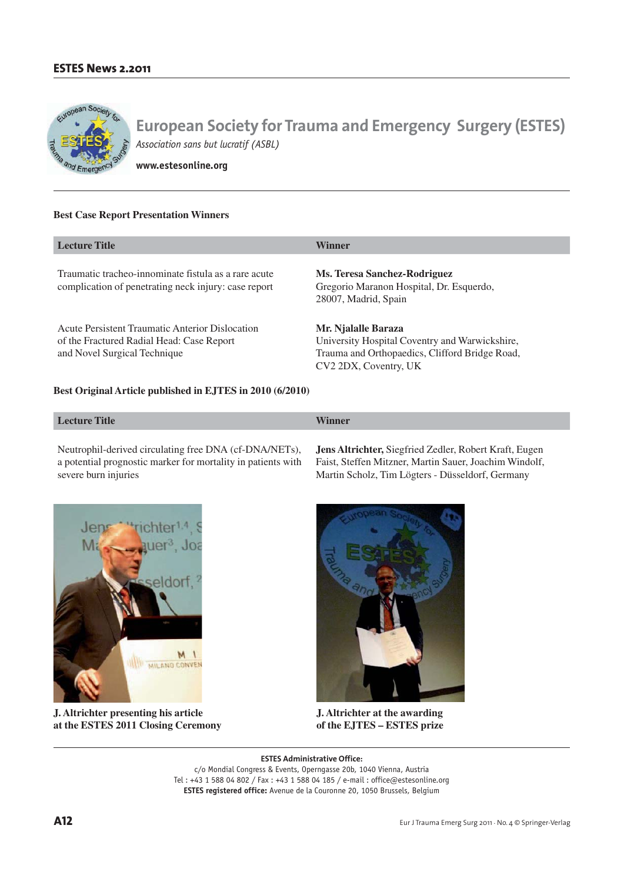

**www.estesonline.org**

# **Best Case Report Presentation Winners**

| <b>Lecture Title</b>                                                                                                         | Winner                                                                                                                                           |
|------------------------------------------------------------------------------------------------------------------------------|--------------------------------------------------------------------------------------------------------------------------------------------------|
| Traumatic tracheo-innominate fistula as a rare acute<br>complication of penetrating neck injury: case report                 | Ms. Teresa Sanchez-Rodriguez<br>Gregorio Maranon Hospital, Dr. Esquerdo,<br>28007, Madrid, Spain                                                 |
| Acute Persistent Traumatic Anterior Dislocation<br>of the Fractured Radial Head: Case Report<br>and Novel Surgical Technique | Mr. Njalalle Baraza<br>University Hospital Coventry and Warwickshire,<br>Trauma and Orthopaedics, Clifford Bridge Road,<br>CV2 2DX, Coventry, UK |

### **Best Original Article published in EJTES in 2010 (6/2010)**

| <b>Lecture Title</b> | <b>WW79</b><br><b>Inner</b> |
|----------------------|-----------------------------|
|                      |                             |

Neutrophil-derived circulating free DNA (cf-DNA/NETs), a potential prognostic marker for mortality in patients with severe burn injuries

**Jens Altrichter,** Siegfried Zedler, Robert Kraft, Eugen Faist, Steffen Mitzner, Martin Sauer, Joachim Windolf, Martin Scholz, Tim Lögters - Düsseldorf, Germany



**J. Altrichter presenting his article at the ESTES 2011 Closing Ceremony** 



**J. Altrichter at the awarding of the EJTES – ESTES prize**

**ESTES Administrative Office:**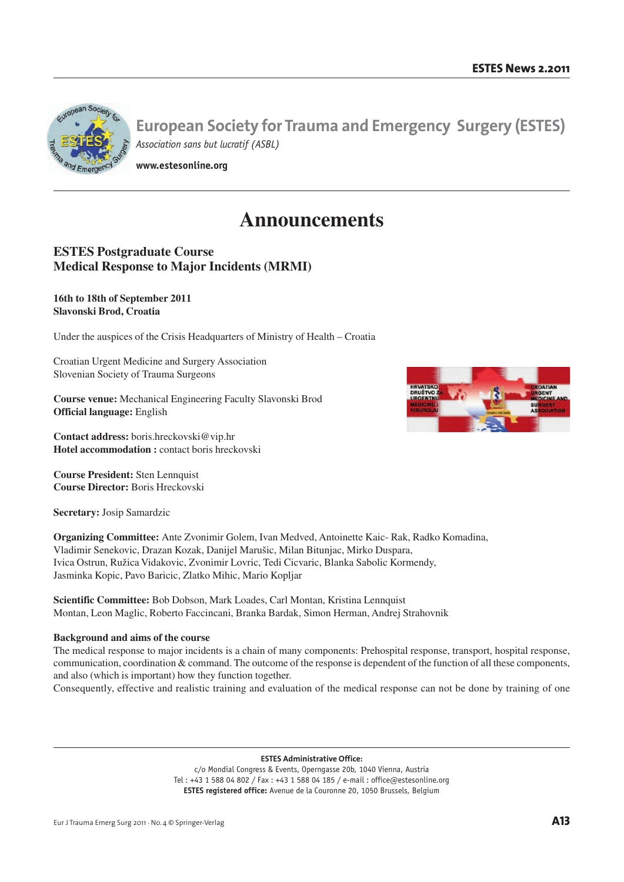

**www.estesonline.org**

# **Announcements**

# **ESTES Postgraduate Course Medical Response to Major Incidents (MRMI)**

# **16th to 18th of September 2011 Slavonski Brod, Croatia**

Under the auspices of the Crisis Headquarters of Ministry of Health – Croatia

Croatian Urgent Medicine and Surgery Association Slovenian Society of Trauma Surgeons

**Course venue:** Mechanical Engineering Faculty Slavonski Brod **Official language:** English

**Contact address:** boris.hreckovski@vip.hr **Hotel accommodation :** contact boris hreckovski

**Course President:** Sten Lennquist **Course Director:** Boris Hreckovski

**Secretary:** Josip Samardzic

**Organizing Committee:** Ante Zvonimir Golem, Ivan Medved, Antoinette Kaic- Rak, Radko Komadina, Vladimir Senekovic, Drazan Kozak, Danijel Marušic, Milan Bitunjac, Mirko Duspara, Ivica Ostrun, Ružica Vidakovic, Zvonimir Lovric, Tedi Cicvaric, Blanka Sabolic Kormendy, Jasminka Kopic, Pavo Baricic, Zlatko Mihic, Mario Kopljar

**Scientific Committee:** Bob Dobson, Mark Loades, Carl Montan, Kristina Lennquist Montan, Leon Maglic, Roberto Faccincani, Branka Bardak, Simon Herman, Andrej Strahovnik

# **Background and aims of the course**

The medical response to major incidents is a chain of many components: Prehospital response, transport, hospital response, communication, coordination & command. The outcome of the response is dependent of the function of all these components, and also (which is important) how they function together.

Consequently, effective and realistic training and evaluation of the medical response can not be done by training of one

**ESTES Administrative Office:**

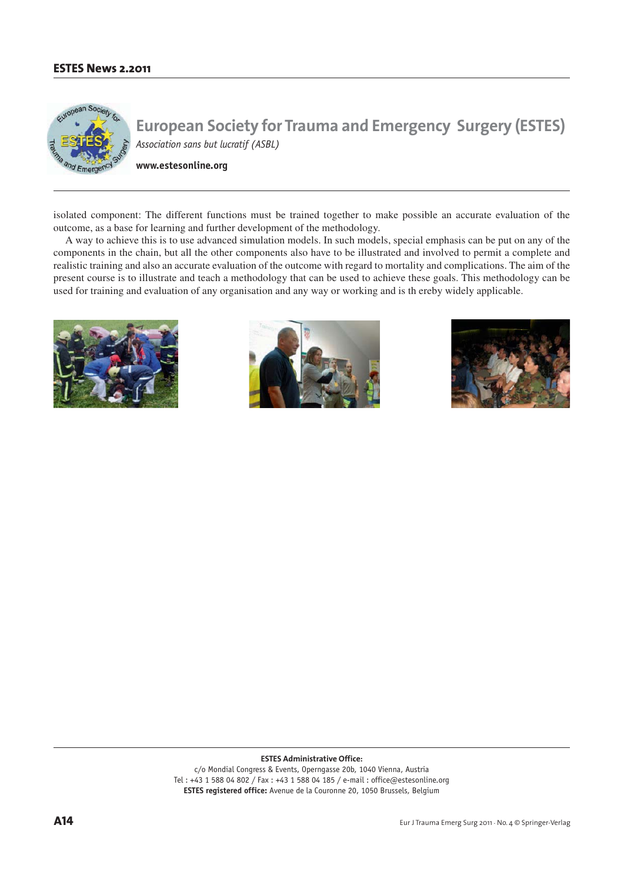

**www.estesonline.org**

isolated component: The different functions must be trained together to make possible an accurate evaluation of the outcome, as a base for learning and further development of the methodology.

A way to achieve this is to use advanced simulation models. In such models, special emphasis can be put on any of the components in the chain, but all the other components also have to be illustrated and involved to permit a complete and realistic training and also an accurate evaluation of the outcome with regard to mortality and complications. The aim of the present course is to illustrate and teach a methodology that can be used to achieve these goals. This methodology can be used for training and evaluation of any organisation and any way or working and is th ereby widely applicable.







**ESTES Administrative Office:**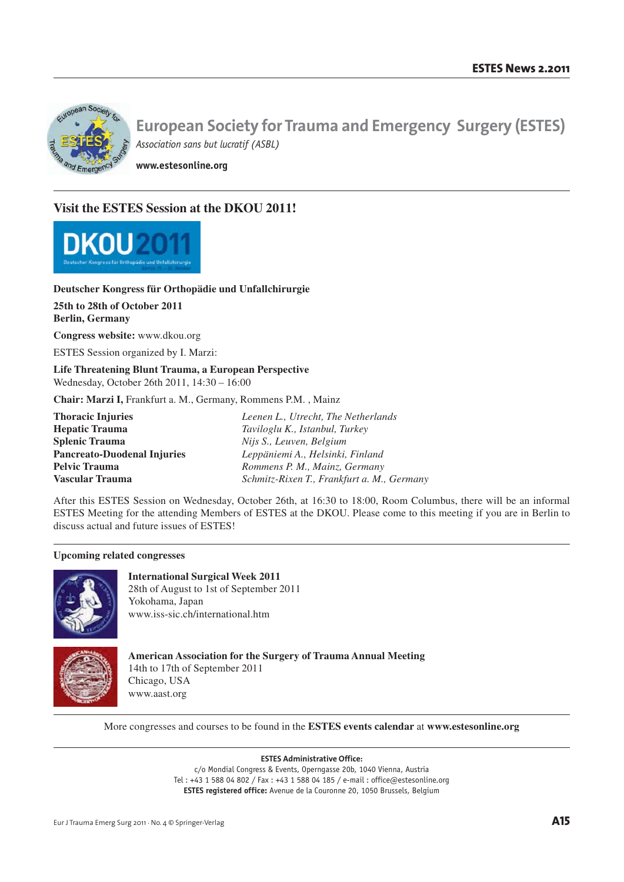

**www.estesonline.org**

# **Visit the ESTES Session at the DKOU 2011!**



# **Deutscher Kongress für Orthopädie und Unfallchirurgie**

**25th to 28th of October 2011 Berlin, Germany**

**Congress website:** www.dkou.org

ESTES Session organized by I. Marzi:

**Life Threatening Blunt Trauma, a European Perspective**  Wednesday, October 26th 2011, 14:30 – 16:00

**Chair: Marzi I,** Frankfurt a. M., Germany, Rommens P.M. , Mainz

**Thoracic Injuries** *Leenen L., Utrecht, The Netherlands* **Hepatic Trauma** *Taviloglu K., Istanbul, Turkey* **Splenic Trauma** *Nijs S., Leuven, Belgium* **Pancreato-Duodenal Injuries** *Leppäniemi A., Helsinki, Finland* **Pelvic Trauma** *Rommens P. M., Mainz, Germany* **Vascular Trauma** *Schmitz-Rixen T., Frankfurt a. M., Germany*

After this ESTES Session on Wednesday, October 26th, at 16:30 to 18:00, Room Columbus, there will be an informal ESTES Meeting for the attending Members of ESTES at the DKOU. Please come to this meeting if you are in Berlin to discuss actual and future issues of ESTES!

## **Upcoming related congresses**



**International Surgical Week 2011** 28th of August to 1st of September 2011 Yokohama, Japan www.iss-sic.ch/international.htm



**American Association for the Surgery of Trauma Annual Meeting** 14th to 17th of September 2011 Chicago, USA www.aast.org

More congresses and courses to be found in the **ESTES events calendar** at **www.estesonline.org**

**ESTES Administrative Office:**